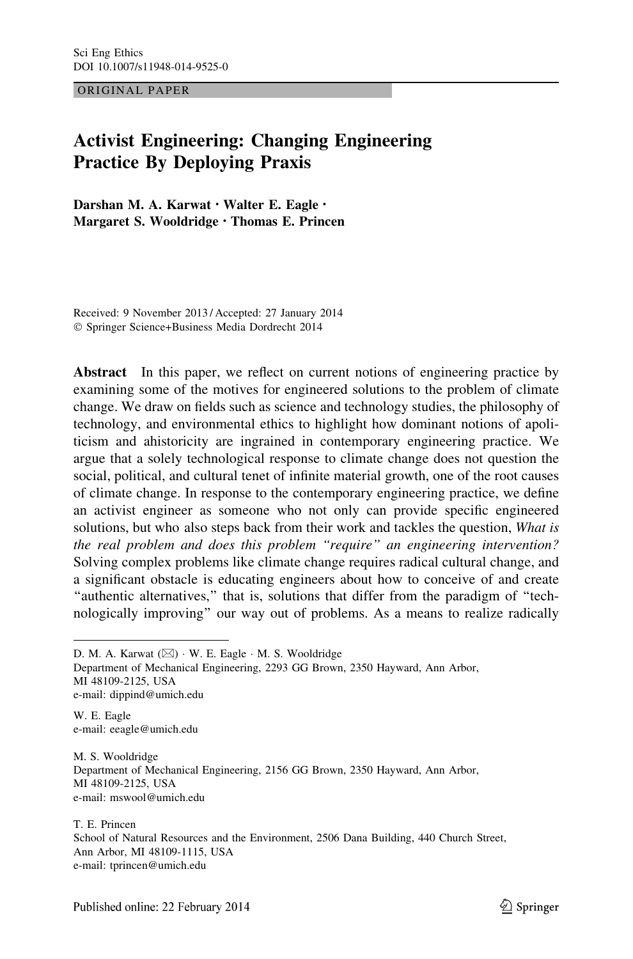ORIGINAL PAPER

# Activist Engineering: Changing Engineering Practice By Deploying Praxis

Darshan M. A. Karwat • Walter E. Eagle • Margaret S. Wooldridge • Thomas E. Princen

Received: 9 November 2013 / Accepted: 27 January 2014 - Springer Science+Business Media Dordrecht 2014

Abstract In this paper, we reflect on current notions of engineering practice by examining some of the motives for engineered solutions to the problem of climate change. We draw on fields such as science and technology studies, the philosophy of technology, and environmental ethics to highlight how dominant notions of apoliticism and ahistoricity are ingrained in contemporary engineering practice. We argue that a solely technological response to climate change does not question the social, political, and cultural tenet of infinite material growth, one of the root causes of climate change. In response to the contemporary engineering practice, we define an activist engineer as someone who not only can provide specific engineered solutions, but who also steps back from their work and tackles the question, What is the real problem and does this problem ''require'' an engineering intervention? Solving complex problems like climate change requires radical cultural change, and a significant obstacle is educating engineers about how to conceive of and create ''authentic alternatives,'' that is, solutions that differ from the paradigm of ''technologically improving'' our way out of problems. As a means to realize radically

W. E. Eagle e-mail: eeagle@umich.edu

M. S. Wooldridge Department of Mechanical Engineering, 2156 GG Brown, 2350 Hayward, Ann Arbor, MI 48109-2125, USA e-mail: mswool@umich.edu

T. E. Princen School of Natural Resources and the Environment, 2506 Dana Building, 440 Church Street, Ann Arbor, MI 48109-1115, USA e-mail: tprincen@umich.edu

D. M. A. Karwat (⊠) · W. E. Eagle · M. S. Wooldridge Department of Mechanical Engineering, 2293 GG Brown, 2350 Hayward, Ann Arbor, MI 48109-2125, USA e-mail: dippind@umich.edu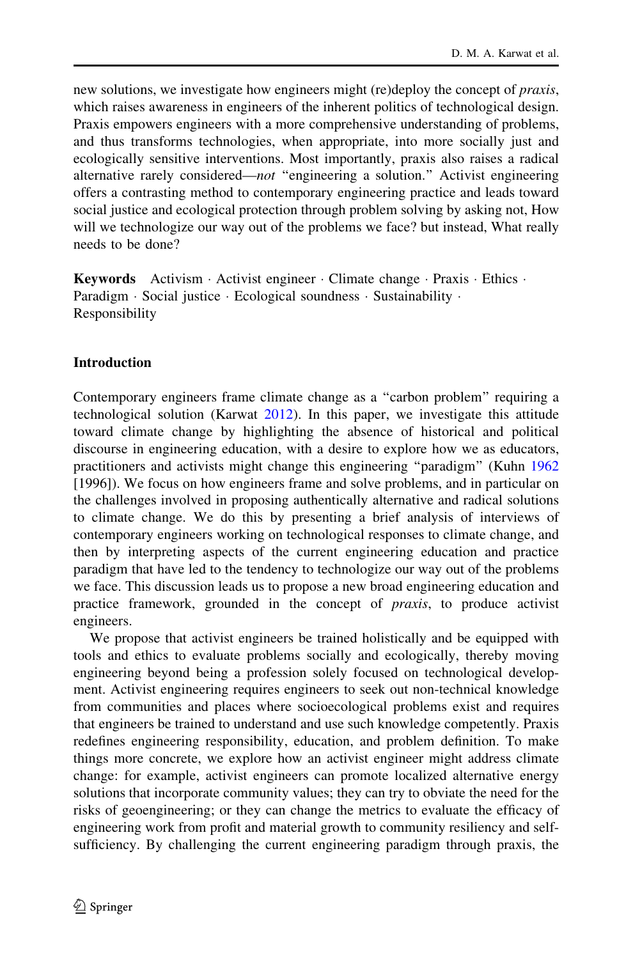new solutions, we investigate how engineers might (re)deploy the concept of *praxis*, which raises awareness in engineers of the inherent politics of technological design. Praxis empowers engineers with a more comprehensive understanding of problems, and thus transforms technologies, when appropriate, into more socially just and ecologically sensitive interventions. Most importantly, praxis also raises a radical alternative rarely considered—not "engineering a solution." Activist engineering offers a contrasting method to contemporary engineering practice and leads toward social justice and ecological protection through problem solving by asking not, How will we technologize our way out of the problems we face? but instead, What really needs to be done?

Keywords Activism · Activist engineer · Climate change · Praxis · Ethics · Paradigm · Social justice · Ecological soundness · Sustainability · Responsibility

## Introduction

Contemporary engineers frame climate change as a ''carbon problem'' requiring a technological solution (Karwat [2012\)](#page-12-0). In this paper, we investigate this attitude toward climate change by highlighting the absence of historical and political discourse in engineering education, with a desire to explore how we as educators, practitioners and activists might change this engineering "paradigm" (Kuhn [1962](#page-12-0) [1996]). We focus on how engineers frame and solve problems, and in particular on the challenges involved in proposing authentically alternative and radical solutions to climate change. We do this by presenting a brief analysis of interviews of contemporary engineers working on technological responses to climate change, and then by interpreting aspects of the current engineering education and practice paradigm that have led to the tendency to technologize our way out of the problems we face. This discussion leads us to propose a new broad engineering education and practice framework, grounded in the concept of praxis, to produce activist engineers.

We propose that activist engineers be trained holistically and be equipped with tools and ethics to evaluate problems socially and ecologically, thereby moving engineering beyond being a profession solely focused on technological development. Activist engineering requires engineers to seek out non-technical knowledge from communities and places where socioecological problems exist and requires that engineers be trained to understand and use such knowledge competently. Praxis redefines engineering responsibility, education, and problem definition. To make things more concrete, we explore how an activist engineer might address climate change: for example, activist engineers can promote localized alternative energy solutions that incorporate community values; they can try to obviate the need for the risks of geoengineering; or they can change the metrics to evaluate the efficacy of engineering work from profit and material growth to community resiliency and selfsufficiency. By challenging the current engineering paradigm through praxis, the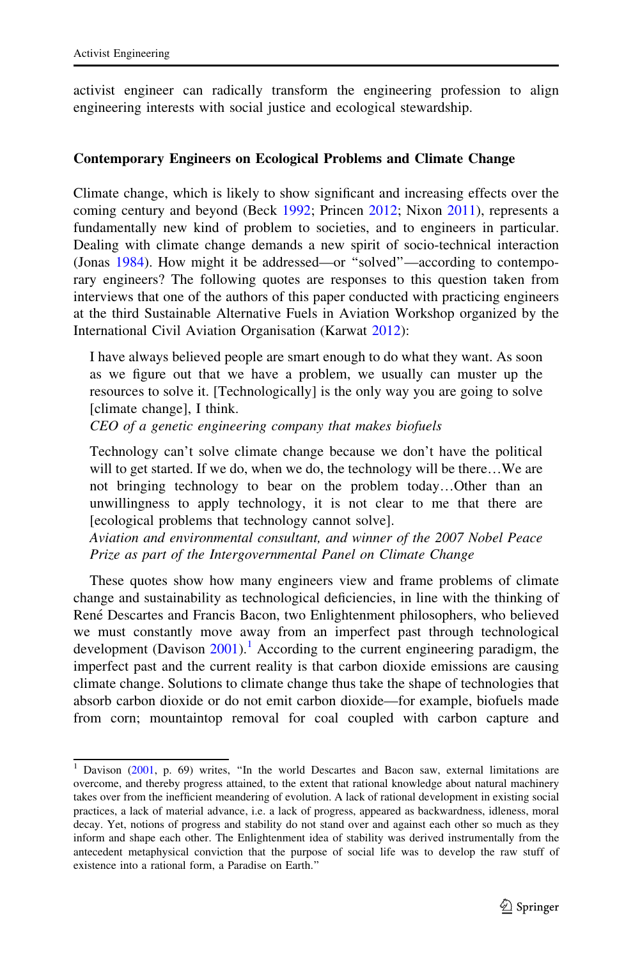activist engineer can radically transform the engineering profession to align engineering interests with social justice and ecological stewardship.

## Contemporary Engineers on Ecological Problems and Climate Change

Climate change, which is likely to show significant and increasing effects over the coming century and beyond (Beck [1992;](#page-11-0) Princen [2012](#page-12-0); Nixon [2011\)](#page-12-0), represents a fundamentally new kind of problem to societies, and to engineers in particular. Dealing with climate change demands a new spirit of socio-technical interaction (Jonas [1984](#page-12-0)). How might it be addressed—or ''solved''—according to contemporary engineers? The following quotes are responses to this question taken from interviews that one of the authors of this paper conducted with practicing engineers at the third Sustainable Alternative Fuels in Aviation Workshop organized by the International Civil Aviation Organisation (Karwat [2012](#page-12-0)):

I have always believed people are smart enough to do what they want. As soon as we figure out that we have a problem, we usually can muster up the resources to solve it. [Technologically] is the only way you are going to solve [climate change], I think.

CEO of a genetic engineering company that makes biofuels

Technology can't solve climate change because we don't have the political will to get started. If we do, when we do, the technology will be there...We are not bringing technology to bear on the problem today…Other than an unwillingness to apply technology, it is not clear to me that there are [ecological problems that technology cannot solve].

Aviation and environmental consultant, and winner of the 2007 Nobel Peace Prize as part of the Intergovernmental Panel on Climate Change

These quotes show how many engineers view and frame problems of climate change and sustainability as technological deficiencies, in line with the thinking of René Descartes and Francis Bacon, two Enlightenment philosophers, who believed we must constantly move away from an imperfect past through technological development (Davison  $2001$ ).<sup>1</sup> According to the current engineering paradigm, the imperfect past and the current reality is that carbon dioxide emissions are causing climate change. Solutions to climate change thus take the shape of technologies that absorb carbon dioxide or do not emit carbon dioxide—for example, biofuels made from corn; mountaintop removal for coal coupled with carbon capture and

<sup>&</sup>lt;sup>1</sup> Davison [\(2001](#page-11-0), p. 69) writes, "In the world Descartes and Bacon saw, external limitations are overcome, and thereby progress attained, to the extent that rational knowledge about natural machinery takes over from the inefficient meandering of evolution. A lack of rational development in existing social practices, a lack of material advance, i.e. a lack of progress, appeared as backwardness, idleness, moral decay. Yet, notions of progress and stability do not stand over and against each other so much as they inform and shape each other. The Enlightenment idea of stability was derived instrumentally from the antecedent metaphysical conviction that the purpose of social life was to develop the raw stuff of existence into a rational form, a Paradise on Earth.''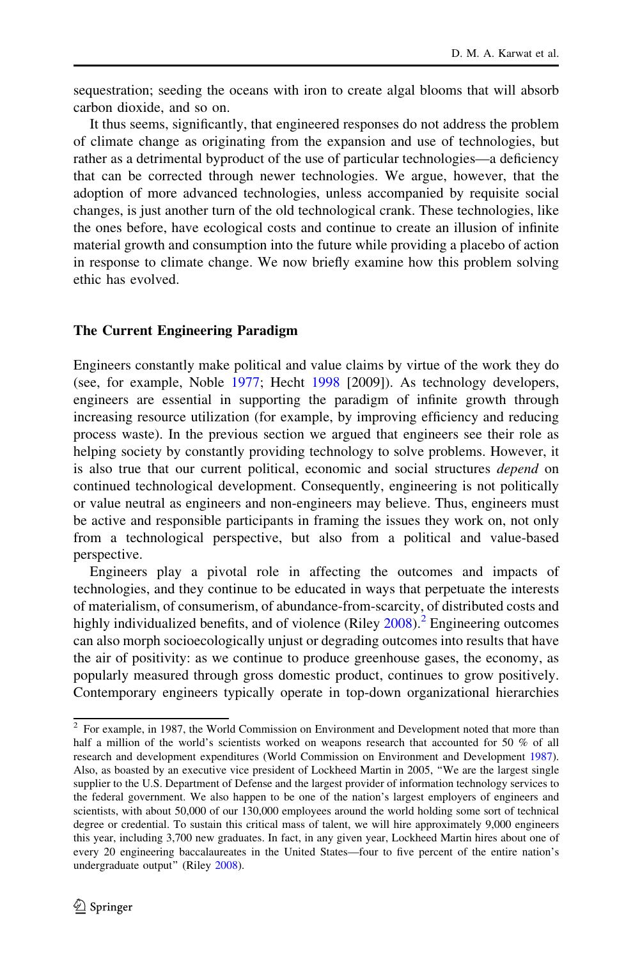sequestration; seeding the oceans with iron to create algal blooms that will absorb carbon dioxide, and so on.

It thus seems, significantly, that engineered responses do not address the problem of climate change as originating from the expansion and use of technologies, but rather as a detrimental byproduct of the use of particular technologies—a deficiency that can be corrected through newer technologies. We argue, however, that the adoption of more advanced technologies, unless accompanied by requisite social changes, is just another turn of the old technological crank. These technologies, like the ones before, have ecological costs and continue to create an illusion of infinite material growth and consumption into the future while providing a placebo of action in response to climate change. We now briefly examine how this problem solving ethic has evolved.

### The Current Engineering Paradigm

Engineers constantly make political and value claims by virtue of the work they do (see, for example, Noble [1977](#page-12-0); Hecht [1998](#page-12-0) [2009]). As technology developers, engineers are essential in supporting the paradigm of infinite growth through increasing resource utilization (for example, by improving efficiency and reducing process waste). In the previous section we argued that engineers see their role as helping society by constantly providing technology to solve problems. However, it is also true that our current political, economic and social structures *depend* on continued technological development. Consequently, engineering is not politically or value neutral as engineers and non-engineers may believe. Thus, engineers must be active and responsible participants in framing the issues they work on, not only from a technological perspective, but also from a political and value-based perspective.

Engineers play a pivotal role in affecting the outcomes and impacts of technologies, and they continue to be educated in ways that perpetuate the interests of materialism, of consumerism, of abundance-from-scarcity, of distributed costs and highly individualized benefits, and of violence (Riley  $2008$ ).<sup>2</sup> Engineering outcomes can also morph socioecologically unjust or degrading outcomes into results that have the air of positivity: as we continue to produce greenhouse gases, the economy, as popularly measured through gross domestic product, continues to grow positively. Contemporary engineers typically operate in top-down organizational hierarchies

<sup>&</sup>lt;sup>2</sup> For example, in 1987, the World Commission on Environment and Development noted that more than half a million of the world's scientists worked on weapons research that accounted for 50 % of all research and development expenditures (World Commission on Environment and Development [1987\)](#page-12-0). Also, as boasted by an executive vice president of Lockheed Martin in 2005, ''We are the largest single supplier to the U.S. Department of Defense and the largest provider of information technology services to the federal government. We also happen to be one of the nation's largest employers of engineers and scientists, with about 50,000 of our 130,000 employees around the world holding some sort of technical degree or credential. To sustain this critical mass of talent, we will hire approximately 9,000 engineers this year, including 3,700 new graduates. In fact, in any given year, Lockheed Martin hires about one of every 20 engineering baccalaureates in the United States—four to five percent of the entire nation's undergraduate output'' (Riley [2008](#page-12-0)).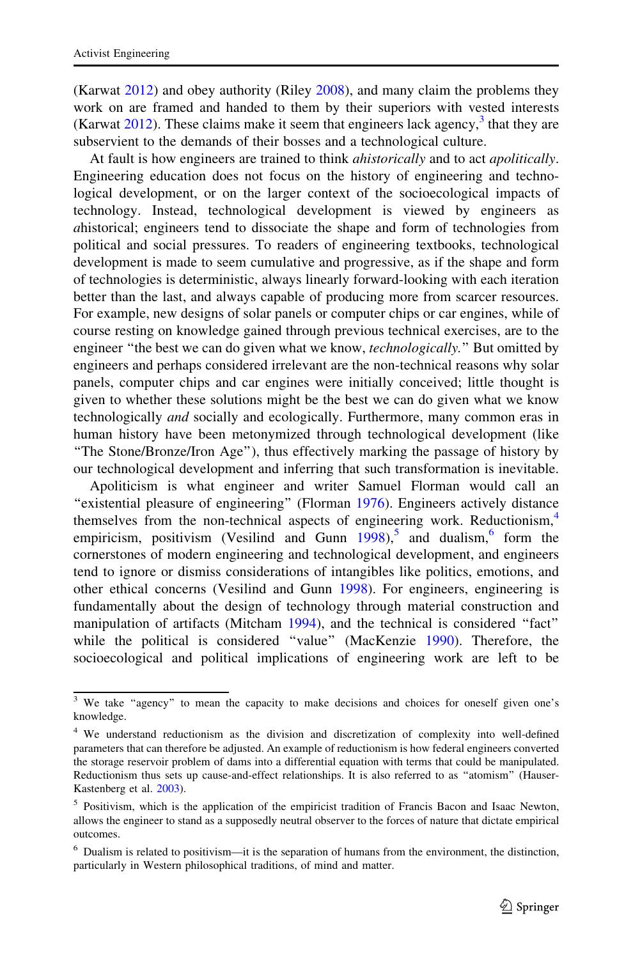(Karwat [2012\)](#page-12-0) and obey authority (Riley [2008](#page-12-0)), and many claim the problems they work on are framed and handed to them by their superiors with vested interests (Karwat  $2012$ ). These claims make it seem that engineers lack agency,  $3$  that they are subservient to the demands of their bosses and a technological culture.

At fault is how engineers are trained to think *ahistorically* and to act *apolitically*. Engineering education does not focus on the history of engineering and technological development, or on the larger context of the socioecological impacts of technology. Instead, technological development is viewed by engineers as ahistorical; engineers tend to dissociate the shape and form of technologies from political and social pressures. To readers of engineering textbooks, technological development is made to seem cumulative and progressive, as if the shape and form of technologies is deterministic, always linearly forward-looking with each iteration better than the last, and always capable of producing more from scarcer resources. For example, new designs of solar panels or computer chips or car engines, while of course resting on knowledge gained through previous technical exercises, are to the engineer "the best we can do given what we know, *technologically*." But omitted by engineers and perhaps considered irrelevant are the non-technical reasons why solar panels, computer chips and car engines were initially conceived; little thought is given to whether these solutions might be the best we can do given what we know technologically *and* socially and ecologically. Furthermore, many common eras in human history have been metonymized through technological development (like ''The Stone/Bronze/Iron Age''), thus effectively marking the passage of history by our technological development and inferring that such transformation is inevitable.

Apoliticism is what engineer and writer Samuel Florman would call an "existential pleasure of engineering" (Florman [1976](#page-12-0)). Engineers actively distance themselves from the non-technical aspects of engineering work. Reductionism,<sup>4</sup> empiricism, positivism (Vesilind and Gunn  $1998$ ),<sup>5</sup> and dualism,<sup>6</sup> form the cornerstones of modern engineering and technological development, and engineers tend to ignore or dismiss considerations of intangibles like politics, emotions, and other ethical concerns (Vesilind and Gunn [1998](#page-12-0)). For engineers, engineering is fundamentally about the design of technology through material construction and manipulation of artifacts (Mitcham [1994\)](#page-12-0), and the technical is considered "fact" while the political is considered "value" (MacKenzie [1990](#page-12-0)). Therefore, the socioecological and political implications of engineering work are left to be

<sup>&</sup>lt;sup>3</sup> We take "agency" to mean the capacity to make decisions and choices for oneself given one's knowledge.

<sup>4</sup> We understand reductionism as the division and discretization of complexity into well-defined parameters that can therefore be adjusted. An example of reductionism is how federal engineers converted the storage reservoir problem of dams into a differential equation with terms that could be manipulated. Reductionism thus sets up cause-and-effect relationships. It is also referred to as ''atomism'' (Hauser-Kastenberg et al. [2003\)](#page-12-0).

<sup>&</sup>lt;sup>5</sup> Positivism, which is the application of the empiricist tradition of Francis Bacon and Isaac Newton, allows the engineer to stand as a supposedly neutral observer to the forces of nature that dictate empirical outcomes.

<sup>6</sup> Dualism is related to positivism—it is the separation of humans from the environment, the distinction, particularly in Western philosophical traditions, of mind and matter.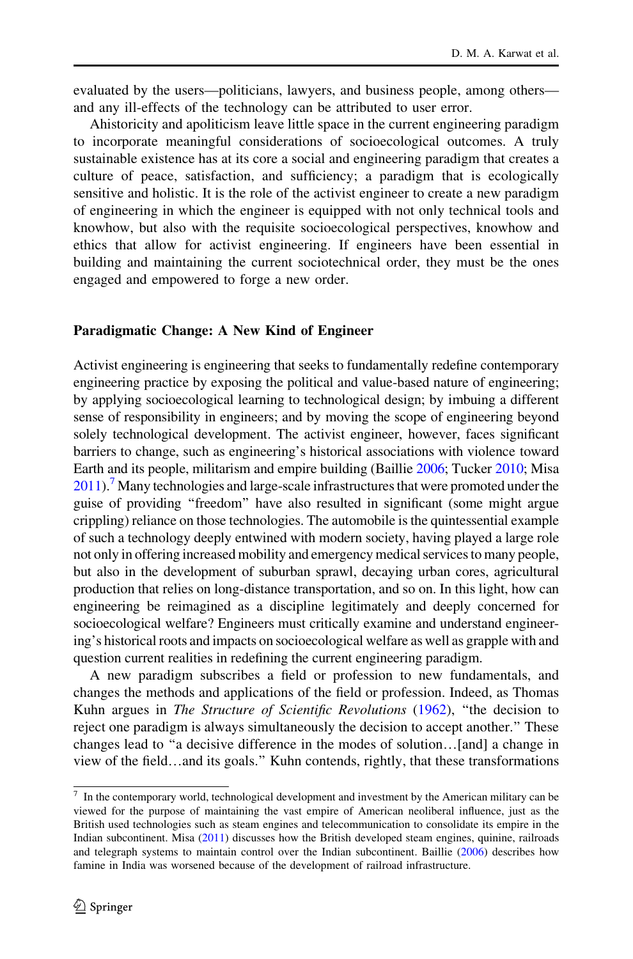evaluated by the users—politicians, lawyers, and business people, among others and any ill-effects of the technology can be attributed to user error.

Ahistoricity and apoliticism leave little space in the current engineering paradigm to incorporate meaningful considerations of socioecological outcomes. A truly sustainable existence has at its core a social and engineering paradigm that creates a culture of peace, satisfaction, and sufficiency; a paradigm that is ecologically sensitive and holistic. It is the role of the activist engineer to create a new paradigm of engineering in which the engineer is equipped with not only technical tools and knowhow, but also with the requisite socioecological perspectives, knowhow and ethics that allow for activist engineering. If engineers have been essential in building and maintaining the current sociotechnical order, they must be the ones engaged and empowered to forge a new order.

#### Paradigmatic Change: A New Kind of Engineer

Activist engineering is engineering that seeks to fundamentally redefine contemporary engineering practice by exposing the political and value-based nature of engineering; by applying socioecological learning to technological design; by imbuing a different sense of responsibility in engineers; and by moving the scope of engineering beyond solely technological development. The activist engineer, however, faces significant barriers to change, such as engineering's historical associations with violence toward Earth and its people, militarism and empire building (Baillie [2006;](#page-11-0) Tucker [2010;](#page-12-0) Misa  $2011$ ).<sup>7</sup> Many technologies and large-scale infrastructures that were promoted under the guise of providing ''freedom'' have also resulted in significant (some might argue crippling) reliance on those technologies. The automobile is the quintessential example of such a technology deeply entwined with modern society, having played a large role not only in offering increased mobility and emergency medical services to many people, but also in the development of suburban sprawl, decaying urban cores, agricultural production that relies on long-distance transportation, and so on. In this light, how can engineering be reimagined as a discipline legitimately and deeply concerned for socioecological welfare? Engineers must critically examine and understand engineering's historical roots and impacts on socioecological welfare as well as grapple with and question current realities in redefining the current engineering paradigm.

A new paradigm subscribes a field or profession to new fundamentals, and changes the methods and applications of the field or profession. Indeed, as Thomas Kuhn argues in The Structure of Scientific Revolutions [\(1962](#page-12-0)), "the decision to reject one paradigm is always simultaneously the decision to accept another.'' These changes lead to ''a decisive difference in the modes of solution…[and] a change in view of the field…and its goals.'' Kuhn contends, rightly, that these transformations

 $7$  In the contemporary world, technological development and investment by the American military can be viewed for the purpose of maintaining the vast empire of American neoliberal influence, just as the British used technologies such as steam engines and telecommunication to consolidate its empire in the Indian subcontinent. Misa [\(2011](#page-12-0)) discusses how the British developed steam engines, quinine, railroads and telegraph systems to maintain control over the Indian subcontinent. Baillie [\(2006](#page-11-0)) describes how famine in India was worsened because of the development of railroad infrastructure.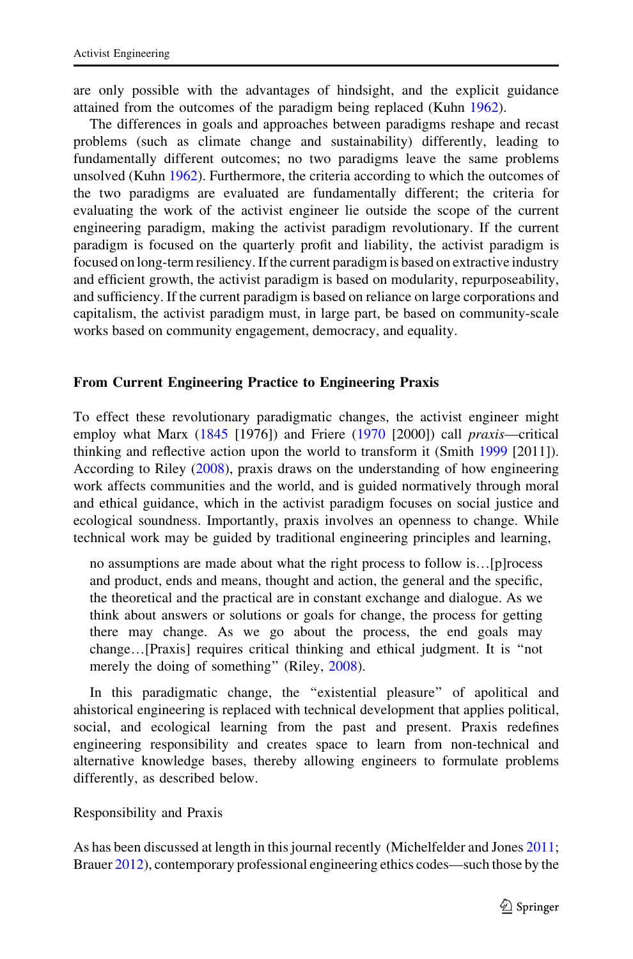are only possible with the advantages of hindsight, and the explicit guidance attained from the outcomes of the paradigm being replaced (Kuhn [1962](#page-12-0)).

The differences in goals and approaches between paradigms reshape and recast problems (such as climate change and sustainability) differently, leading to fundamentally different outcomes; no two paradigms leave the same problems unsolved (Kuhn [1962](#page-12-0)). Furthermore, the criteria according to which the outcomes of the two paradigms are evaluated are fundamentally different; the criteria for evaluating the work of the activist engineer lie outside the scope of the current engineering paradigm, making the activist paradigm revolutionary. If the current paradigm is focused on the quarterly profit and liability, the activist paradigm is focused on long-term resiliency. If the current paradigm is based on extractive industry and efficient growth, the activist paradigm is based on modularity, repurposeability, and sufficiency. If the current paradigm is based on reliance on large corporations and capitalism, the activist paradigm must, in large part, be based on community-scale works based on community engagement, democracy, and equality.

# From Current Engineering Practice to Engineering Praxis

To effect these revolutionary paradigmatic changes, the activist engineer might employ what Marx ([1845](#page-12-0) [1976]) and Friere ([1970](#page-12-0) [2000]) call *praxis*—critical thinking and reflective action upon the world to transform it (Smith [1999](#page-12-0) [2011]). According to Riley [\(2008](#page-12-0)), praxis draws on the understanding of how engineering work affects communities and the world, and is guided normatively through moral and ethical guidance, which in the activist paradigm focuses on social justice and ecological soundness. Importantly, praxis involves an openness to change. While technical work may be guided by traditional engineering principles and learning,

no assumptions are made about what the right process to follow is…[p]rocess and product, ends and means, thought and action, the general and the specific, the theoretical and the practical are in constant exchange and dialogue. As we think about answers or solutions or goals for change, the process for getting there may change. As we go about the process, the end goals may change…[Praxis] requires critical thinking and ethical judgment. It is ''not merely the doing of something'' (Riley, [2008](#page-12-0)).

In this paradigmatic change, the ''existential pleasure'' of apolitical and ahistorical engineering is replaced with technical development that applies political, social, and ecological learning from the past and present. Praxis redefines engineering responsibility and creates space to learn from non-technical and alternative knowledge bases, thereby allowing engineers to formulate problems differently, as described below.

### Responsibility and Praxis

As has been discussed at length in this journal recently (Michelfelder and Jones [2011;](#page-12-0) Brauer [2012\)](#page-11-0), contemporary professional engineering ethics codes—such those by the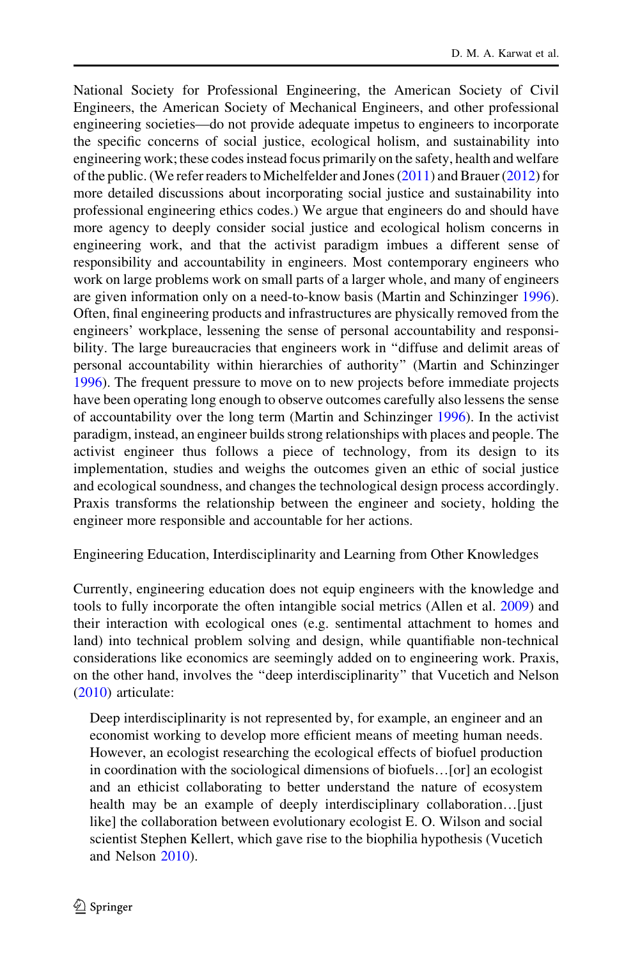National Society for Professional Engineering, the American Society of Civil Engineers, the American Society of Mechanical Engineers, and other professional engineering societies—do not provide adequate impetus to engineers to incorporate the specific concerns of social justice, ecological holism, and sustainability into engineering work; these codes instead focus primarily on the safety, health and welfare of the public. (We refer readers to Michelfelder and Jones [\(2011\)](#page-12-0) and Brauer ([2012\)](#page-11-0) for more detailed discussions about incorporating social justice and sustainability into professional engineering ethics codes.) We argue that engineers do and should have more agency to deeply consider social justice and ecological holism concerns in engineering work, and that the activist paradigm imbues a different sense of responsibility and accountability in engineers. Most contemporary engineers who work on large problems work on small parts of a larger whole, and many of engineers are given information only on a need-to-know basis (Martin and Schinzinger [1996\)](#page-12-0). Often, final engineering products and infrastructures are physically removed from the engineers' workplace, lessening the sense of personal accountability and responsibility. The large bureaucracies that engineers work in ''diffuse and delimit areas of personal accountability within hierarchies of authority'' (Martin and Schinzinger [1996\)](#page-12-0). The frequent pressure to move on to new projects before immediate projects have been operating long enough to observe outcomes carefully also lessens the sense of accountability over the long term (Martin and Schinzinger [1996](#page-12-0)). In the activist paradigm, instead, an engineer builds strong relationships with places and people. The activist engineer thus follows a piece of technology, from its design to its implementation, studies and weighs the outcomes given an ethic of social justice and ecological soundness, and changes the technological design process accordingly. Praxis transforms the relationship between the engineer and society, holding the engineer more responsible and accountable for her actions.

Engineering Education, Interdisciplinarity and Learning from Other Knowledges

Currently, engineering education does not equip engineers with the knowledge and tools to fully incorporate the often intangible social metrics (Allen et al. [2009\)](#page-11-0) and their interaction with ecological ones (e.g. sentimental attachment to homes and land) into technical problem solving and design, while quantifiable non-technical considerations like economics are seemingly added on to engineering work. Praxis, on the other hand, involves the ''deep interdisciplinarity'' that Vucetich and Nelson [\(2010](#page-12-0)) articulate:

Deep interdisciplinarity is not represented by, for example, an engineer and an economist working to develop more efficient means of meeting human needs. However, an ecologist researching the ecological effects of biofuel production in coordination with the sociological dimensions of biofuels…[or] an ecologist and an ethicist collaborating to better understand the nature of ecosystem health may be an example of deeply interdisciplinary collaboration…[just like] the collaboration between evolutionary ecologist E. O. Wilson and social scientist Stephen Kellert, which gave rise to the biophilia hypothesis (Vucetich and Nelson [2010\)](#page-12-0).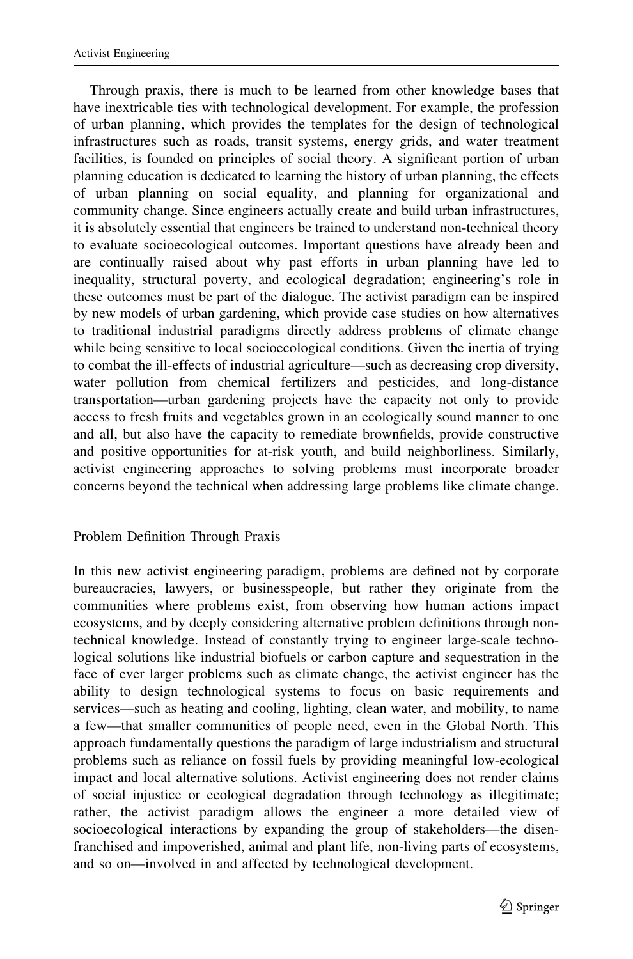Through praxis, there is much to be learned from other knowledge bases that have inextricable ties with technological development. For example, the profession of urban planning, which provides the templates for the design of technological infrastructures such as roads, transit systems, energy grids, and water treatment facilities, is founded on principles of social theory. A significant portion of urban planning education is dedicated to learning the history of urban planning, the effects of urban planning on social equality, and planning for organizational and community change. Since engineers actually create and build urban infrastructures, it is absolutely essential that engineers be trained to understand non-technical theory to evaluate socioecological outcomes. Important questions have already been and are continually raised about why past efforts in urban planning have led to inequality, structural poverty, and ecological degradation; engineering's role in these outcomes must be part of the dialogue. The activist paradigm can be inspired by new models of urban gardening, which provide case studies on how alternatives to traditional industrial paradigms directly address problems of climate change while being sensitive to local socioecological conditions. Given the inertia of trying to combat the ill-effects of industrial agriculture—such as decreasing crop diversity, water pollution from chemical fertilizers and pesticides, and long-distance transportation—urban gardening projects have the capacity not only to provide access to fresh fruits and vegetables grown in an ecologically sound manner to one and all, but also have the capacity to remediate brownfields, provide constructive and positive opportunities for at-risk youth, and build neighborliness. Similarly, activist engineering approaches to solving problems must incorporate broader concerns beyond the technical when addressing large problems like climate change.

### Problem Definition Through Praxis

In this new activist engineering paradigm, problems are defined not by corporate bureaucracies, lawyers, or businesspeople, but rather they originate from the communities where problems exist, from observing how human actions impact ecosystems, and by deeply considering alternative problem definitions through nontechnical knowledge. Instead of constantly trying to engineer large-scale technological solutions like industrial biofuels or carbon capture and sequestration in the face of ever larger problems such as climate change, the activist engineer has the ability to design technological systems to focus on basic requirements and services—such as heating and cooling, lighting, clean water, and mobility, to name a few—that smaller communities of people need, even in the Global North. This approach fundamentally questions the paradigm of large industrialism and structural problems such as reliance on fossil fuels by providing meaningful low-ecological impact and local alternative solutions. Activist engineering does not render claims of social injustice or ecological degradation through technology as illegitimate; rather, the activist paradigm allows the engineer a more detailed view of socioecological interactions by expanding the group of stakeholders—the disenfranchised and impoverished, animal and plant life, non-living parts of ecosystems, and so on—involved in and affected by technological development.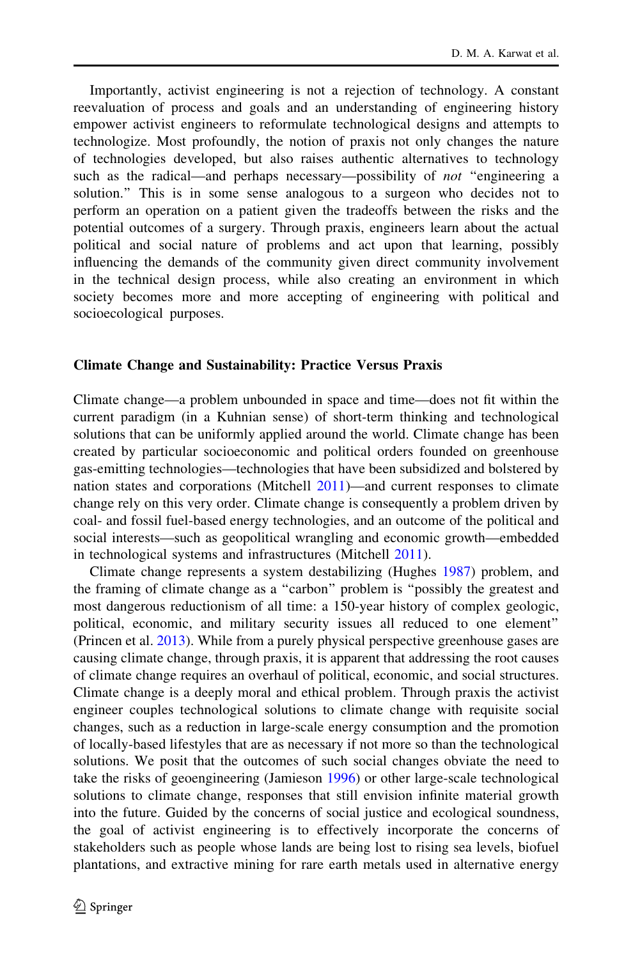Importantly, activist engineering is not a rejection of technology. A constant reevaluation of process and goals and an understanding of engineering history empower activist engineers to reformulate technological designs and attempts to technologize. Most profoundly, the notion of praxis not only changes the nature of technologies developed, but also raises authentic alternatives to technology such as the radical—and perhaps necessary—possibility of *not* "engineering a solution.'' This is in some sense analogous to a surgeon who decides not to perform an operation on a patient given the tradeoffs between the risks and the potential outcomes of a surgery. Through praxis, engineers learn about the actual political and social nature of problems and act upon that learning, possibly influencing the demands of the community given direct community involvement in the technical design process, while also creating an environment in which society becomes more and more accepting of engineering with political and socioecological purposes.

#### Climate Change and Sustainability: Practice Versus Praxis

Climate change—a problem unbounded in space and time—does not fit within the current paradigm (in a Kuhnian sense) of short-term thinking and technological solutions that can be uniformly applied around the world. Climate change has been created by particular socioeconomic and political orders founded on greenhouse gas-emitting technologies—technologies that have been subsidized and bolstered by nation states and corporations (Mitchell [2011](#page-12-0))—and current responses to climate change rely on this very order. Climate change is consequently a problem driven by coal- and fossil fuel-based energy technologies, and an outcome of the political and social interests—such as geopolitical wrangling and economic growth—embedded in technological systems and infrastructures (Mitchell [2011\)](#page-12-0).

Climate change represents a system destabilizing (Hughes [1987](#page-12-0)) problem, and the framing of climate change as a ''carbon'' problem is ''possibly the greatest and most dangerous reductionism of all time: a 150-year history of complex geologic, political, economic, and military security issues all reduced to one element'' (Princen et al. [2013\)](#page-12-0). While from a purely physical perspective greenhouse gases are causing climate change, through praxis, it is apparent that addressing the root causes of climate change requires an overhaul of political, economic, and social structures. Climate change is a deeply moral and ethical problem. Through praxis the activist engineer couples technological solutions to climate change with requisite social changes, such as a reduction in large-scale energy consumption and the promotion of locally-based lifestyles that are as necessary if not more so than the technological solutions. We posit that the outcomes of such social changes obviate the need to take the risks of geoengineering (Jamieson [1996\)](#page-12-0) or other large-scale technological solutions to climate change, responses that still envision infinite material growth into the future. Guided by the concerns of social justice and ecological soundness, the goal of activist engineering is to effectively incorporate the concerns of stakeholders such as people whose lands are being lost to rising sea levels, biofuel plantations, and extractive mining for rare earth metals used in alternative energy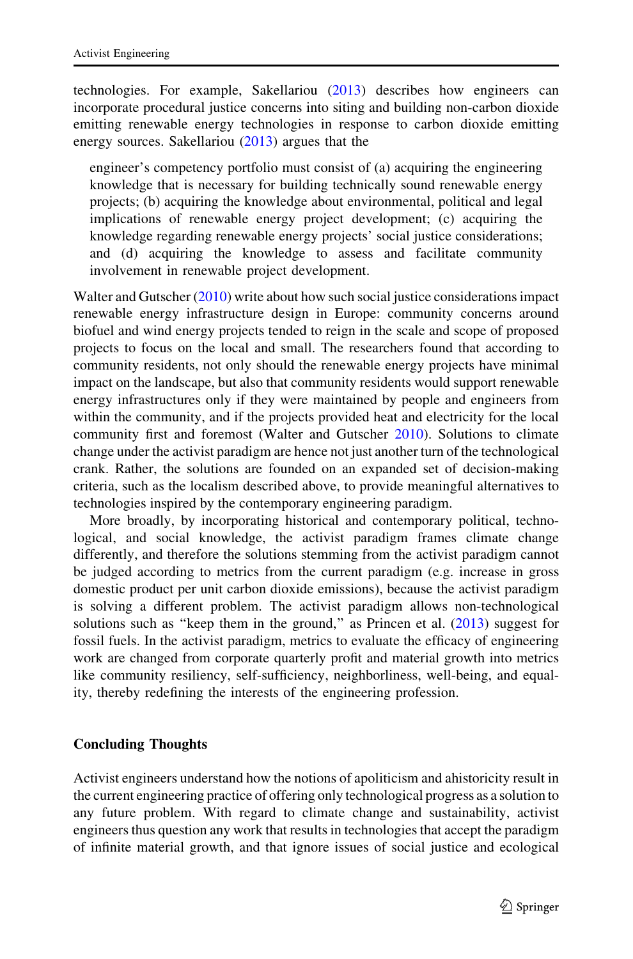technologies. For example, Sakellariou ([2013\)](#page-12-0) describes how engineers can incorporate procedural justice concerns into siting and building non-carbon dioxide emitting renewable energy technologies in response to carbon dioxide emitting energy sources. Sakellariou ([2013\)](#page-12-0) argues that the

engineer's competency portfolio must consist of (a) acquiring the engineering knowledge that is necessary for building technically sound renewable energy projects; (b) acquiring the knowledge about environmental, political and legal implications of renewable energy project development; (c) acquiring the knowledge regarding renewable energy projects' social justice considerations; and (d) acquiring the knowledge to assess and facilitate community involvement in renewable project development.

Walter and Gutscher ([2010\)](#page-12-0) write about how such social justice considerations impact renewable energy infrastructure design in Europe: community concerns around biofuel and wind energy projects tended to reign in the scale and scope of proposed projects to focus on the local and small. The researchers found that according to community residents, not only should the renewable energy projects have minimal impact on the landscape, but also that community residents would support renewable energy infrastructures only if they were maintained by people and engineers from within the community, and if the projects provided heat and electricity for the local community first and foremost (Walter and Gutscher [2010](#page-12-0)). Solutions to climate change under the activist paradigm are hence not just another turn of the technological crank. Rather, the solutions are founded on an expanded set of decision-making criteria, such as the localism described above, to provide meaningful alternatives to technologies inspired by the contemporary engineering paradigm.

More broadly, by incorporating historical and contemporary political, technological, and social knowledge, the activist paradigm frames climate change differently, and therefore the solutions stemming from the activist paradigm cannot be judged according to metrics from the current paradigm (e.g. increase in gross domestic product per unit carbon dioxide emissions), because the activist paradigm is solving a different problem. The activist paradigm allows non-technological solutions such as "keep them in the ground," as Princen et al. [\(2013](#page-12-0)) suggest for fossil fuels. In the activist paradigm, metrics to evaluate the efficacy of engineering work are changed from corporate quarterly profit and material growth into metrics like community resiliency, self-sufficiency, neighborliness, well-being, and equality, thereby redefining the interests of the engineering profession.

# Concluding Thoughts

Activist engineers understand how the notions of apoliticism and ahistoricity result in the current engineering practice of offering only technological progress as a solution to any future problem. With regard to climate change and sustainability, activist engineers thus question any work that results in technologies that accept the paradigm of infinite material growth, and that ignore issues of social justice and ecological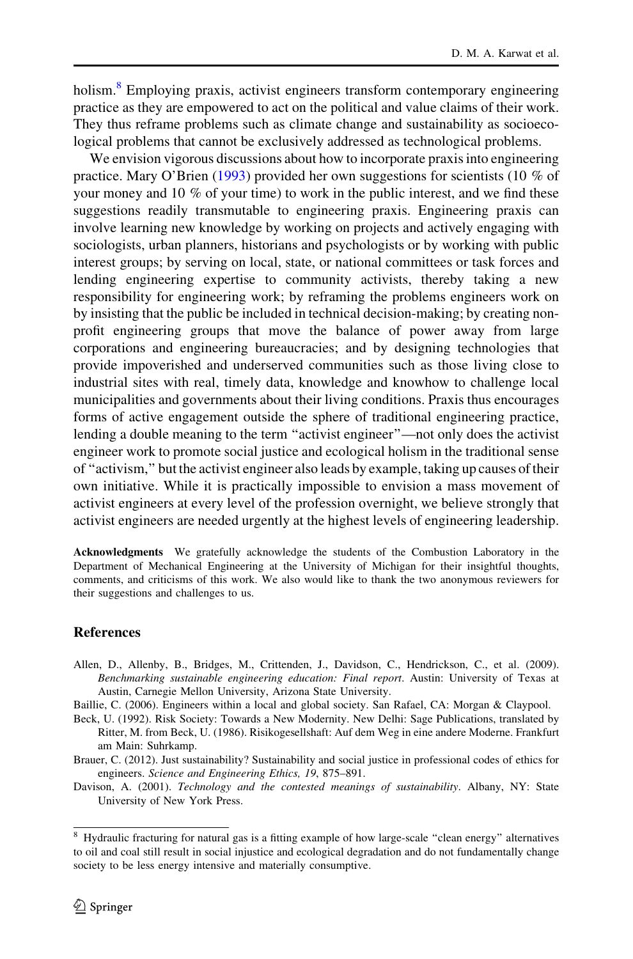<span id="page-11-0"></span>holism.<sup>8</sup> Employing praxis, activist engineers transform contemporary engineering practice as they are empowered to act on the political and value claims of their work. They thus reframe problems such as climate change and sustainability as socioecological problems that cannot be exclusively addressed as technological problems.

We envision vigorous discussions about how to incorporate praxis into engineering practice. Mary O'Brien ([1993\)](#page-12-0) provided her own suggestions for scientists (10 % of your money and 10 % of your time) to work in the public interest, and we find these suggestions readily transmutable to engineering praxis. Engineering praxis can involve learning new knowledge by working on projects and actively engaging with sociologists, urban planners, historians and psychologists or by working with public interest groups; by serving on local, state, or national committees or task forces and lending engineering expertise to community activists, thereby taking a new responsibility for engineering work; by reframing the problems engineers work on by insisting that the public be included in technical decision-making; by creating nonprofit engineering groups that move the balance of power away from large corporations and engineering bureaucracies; and by designing technologies that provide impoverished and underserved communities such as those living close to industrial sites with real, timely data, knowledge and knowhow to challenge local municipalities and governments about their living conditions. Praxis thus encourages forms of active engagement outside the sphere of traditional engineering practice, lending a double meaning to the term ''activist engineer''—not only does the activist engineer work to promote social justice and ecological holism in the traditional sense of ''activism,'' but the activist engineer also leads by example, taking up causes of their own initiative. While it is practically impossible to envision a mass movement of activist engineers at every level of the profession overnight, we believe strongly that activist engineers are needed urgently at the highest levels of engineering leadership.

Acknowledgments We gratefully acknowledge the students of the Combustion Laboratory in the Department of Mechanical Engineering at the University of Michigan for their insightful thoughts, comments, and criticisms of this work. We also would like to thank the two anonymous reviewers for their suggestions and challenges to us.

#### References

Allen, D., Allenby, B., Bridges, M., Crittenden, J., Davidson, C., Hendrickson, C., et al. (2009). Benchmarking sustainable engineering education: Final report. Austin: University of Texas at Austin, Carnegie Mellon University, Arizona State University.

Baillie, C. (2006). Engineers within a local and global society. San Rafael, CA: Morgan & Claypool.

- Beck, U. (1992). Risk Society: Towards a New Modernity. New Delhi: Sage Publications, translated by Ritter, M. from Beck, U. (1986). Risikogesellshaft: Auf dem Weg in eine andere Moderne. Frankfurt am Main: Suhrkamp.
- Brauer, C. (2012). Just sustainability? Sustainability and social justice in professional codes of ethics for engineers. Science and Engineering Ethics, 19, 875–891.
- Davison, A. (2001). Technology and the contested meanings of sustainability. Albany, NY: State University of New York Press.

<sup>8</sup> Hydraulic fracturing for natural gas is a fitting example of how large-scale ''clean energy'' alternatives to oil and coal still result in social injustice and ecological degradation and do not fundamentally change society to be less energy intensive and materially consumptive.